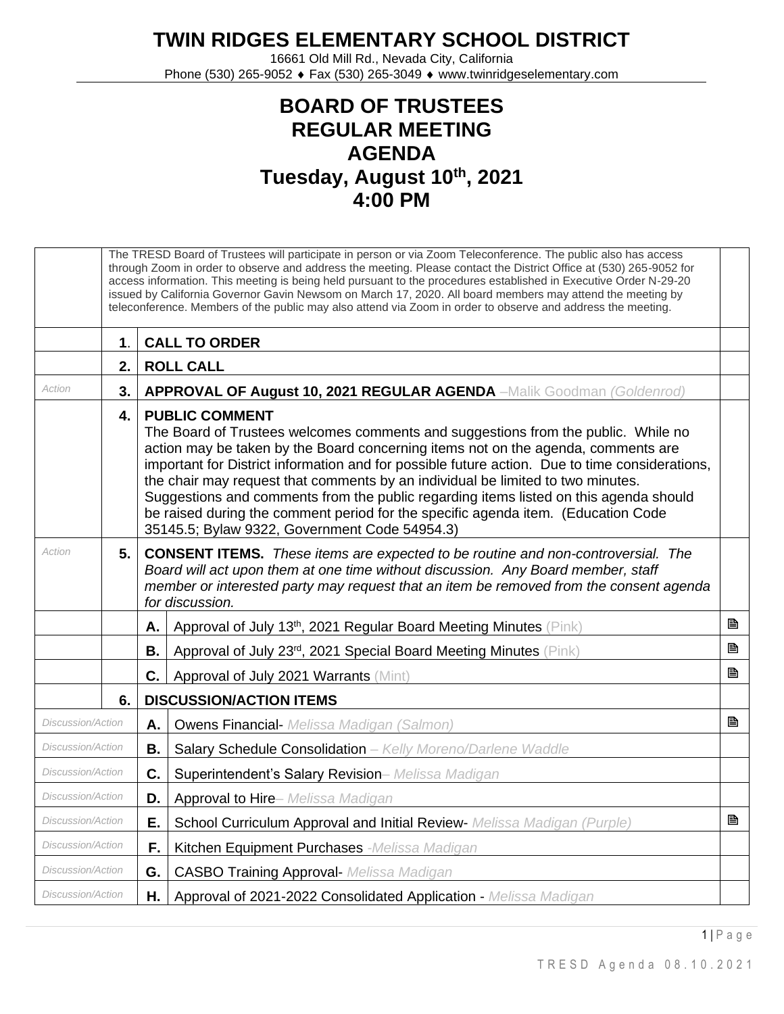## **TWIN RIDGES ELEMENTARY SCHOOL DISTRICT**

16661 Old Mill Rd., Nevada City, California Phone (530) 265-9052 ♦ Fax (530) 265-3049 ♦ www.twinridgeselementary.com

## **BOARD OF TRUSTEES REGULAR MEETING AGENDA Tuesday, August 10th, 2021 4:00 PM**

|                          | The TRESD Board of Trustees will participate in person or via Zoom Teleconference. The public also has access<br>through Zoom in order to observe and address the meeting. Please contact the District Office at (530) 265-9052 for<br>access information. This meeting is being held pursuant to the procedures established in Executive Order N-29-20<br>issued by California Governor Gavin Newsom on March 17, 2020. All board members may attend the meeting by<br>teleconference. Members of the public may also attend via Zoom in order to observe and address the meeting. |                                                                                                                                                                                                                                                                                                                                                                                                                                                                                                                                                                                                                     |                                                                                                                                                                                                                                                                                          |   |  |
|--------------------------|-------------------------------------------------------------------------------------------------------------------------------------------------------------------------------------------------------------------------------------------------------------------------------------------------------------------------------------------------------------------------------------------------------------------------------------------------------------------------------------------------------------------------------------------------------------------------------------|---------------------------------------------------------------------------------------------------------------------------------------------------------------------------------------------------------------------------------------------------------------------------------------------------------------------------------------------------------------------------------------------------------------------------------------------------------------------------------------------------------------------------------------------------------------------------------------------------------------------|------------------------------------------------------------------------------------------------------------------------------------------------------------------------------------------------------------------------------------------------------------------------------------------|---|--|
|                          | $\mathbf 1$ .                                                                                                                                                                                                                                                                                                                                                                                                                                                                                                                                                                       |                                                                                                                                                                                                                                                                                                                                                                                                                                                                                                                                                                                                                     | <b>CALL TO ORDER</b>                                                                                                                                                                                                                                                                     |   |  |
|                          | 2.                                                                                                                                                                                                                                                                                                                                                                                                                                                                                                                                                                                  |                                                                                                                                                                                                                                                                                                                                                                                                                                                                                                                                                                                                                     | <b>ROLL CALL</b>                                                                                                                                                                                                                                                                         |   |  |
| Action<br>3.             |                                                                                                                                                                                                                                                                                                                                                                                                                                                                                                                                                                                     |                                                                                                                                                                                                                                                                                                                                                                                                                                                                                                                                                                                                                     | <b>APPROVAL OF August 10, 2021 REGULAR AGENDA</b> -Malik Goodman (Goldenrod)                                                                                                                                                                                                             |   |  |
|                          | $\overline{4}$ .                                                                                                                                                                                                                                                                                                                                                                                                                                                                                                                                                                    | <b>PUBLIC COMMENT</b><br>The Board of Trustees welcomes comments and suggestions from the public. While no<br>action may be taken by the Board concerning items not on the agenda, comments are<br>important for District information and for possible future action. Due to time considerations,<br>the chair may request that comments by an individual be limited to two minutes.<br>Suggestions and comments from the public regarding items listed on this agenda should<br>be raised during the comment period for the specific agenda item. (Education Code<br>35145.5; Bylaw 9322, Government Code 54954.3) |                                                                                                                                                                                                                                                                                          |   |  |
| Action                   | 5.                                                                                                                                                                                                                                                                                                                                                                                                                                                                                                                                                                                  |                                                                                                                                                                                                                                                                                                                                                                                                                                                                                                                                                                                                                     | <b>CONSENT ITEMS.</b> These items are expected to be routine and non-controversial. The<br>Board will act upon them at one time without discussion. Any Board member, staff<br>member or interested party may request that an item be removed from the consent agenda<br>for discussion. |   |  |
|                          |                                                                                                                                                                                                                                                                                                                                                                                                                                                                                                                                                                                     | Α.                                                                                                                                                                                                                                                                                                                                                                                                                                                                                                                                                                                                                  | Approval of July 13th, 2021 Regular Board Meeting Minutes (Pink)                                                                                                                                                                                                                         | B |  |
|                          |                                                                                                                                                                                                                                                                                                                                                                                                                                                                                                                                                                                     | В.                                                                                                                                                                                                                                                                                                                                                                                                                                                                                                                                                                                                                  | Approval of July 23rd, 2021 Special Board Meeting Minutes (Pink)                                                                                                                                                                                                                         | B |  |
|                          |                                                                                                                                                                                                                                                                                                                                                                                                                                                                                                                                                                                     | C.                                                                                                                                                                                                                                                                                                                                                                                                                                                                                                                                                                                                                  | Approval of July 2021 Warrants (Mint)                                                                                                                                                                                                                                                    | B |  |
|                          | 6.                                                                                                                                                                                                                                                                                                                                                                                                                                                                                                                                                                                  |                                                                                                                                                                                                                                                                                                                                                                                                                                                                                                                                                                                                                     | <b>DISCUSSION/ACTION ITEMS</b>                                                                                                                                                                                                                                                           |   |  |
| Discussion/Action        |                                                                                                                                                                                                                                                                                                                                                                                                                                                                                                                                                                                     | А.                                                                                                                                                                                                                                                                                                                                                                                                                                                                                                                                                                                                                  | <b>Owens Financial-</b> Melissa Madigan (Salmon)                                                                                                                                                                                                                                         | P |  |
| <i>Discussion/Action</i> |                                                                                                                                                                                                                                                                                                                                                                                                                                                                                                                                                                                     | В.                                                                                                                                                                                                                                                                                                                                                                                                                                                                                                                                                                                                                  | Salary Schedule Consolidation - Kelly Moreno/Darlene Waddle                                                                                                                                                                                                                              |   |  |
| <b>Discussion/Action</b> |                                                                                                                                                                                                                                                                                                                                                                                                                                                                                                                                                                                     | C.                                                                                                                                                                                                                                                                                                                                                                                                                                                                                                                                                                                                                  | Superintendent's Salary Revision- Melissa Madigan                                                                                                                                                                                                                                        |   |  |
| Discussion/Action        |                                                                                                                                                                                                                                                                                                                                                                                                                                                                                                                                                                                     | D.                                                                                                                                                                                                                                                                                                                                                                                                                                                                                                                                                                                                                  | Approval to Hire- Melissa Madigan                                                                                                                                                                                                                                                        |   |  |
| Discussion/Action        |                                                                                                                                                                                                                                                                                                                                                                                                                                                                                                                                                                                     | Ε.                                                                                                                                                                                                                                                                                                                                                                                                                                                                                                                                                                                                                  | School Curriculum Approval and Initial Review- Melissa Madigan (Purple)                                                                                                                                                                                                                  | B |  |
| <i>Discussion/Action</i> |                                                                                                                                                                                                                                                                                                                                                                                                                                                                                                                                                                                     | F.                                                                                                                                                                                                                                                                                                                                                                                                                                                                                                                                                                                                                  | Kitchen Equipment Purchases -Melissa Madigan                                                                                                                                                                                                                                             |   |  |
| Discussion/Action        |                                                                                                                                                                                                                                                                                                                                                                                                                                                                                                                                                                                     | G.                                                                                                                                                                                                                                                                                                                                                                                                                                                                                                                                                                                                                  | <b>CASBO Training Approval- Melissa Madigan</b>                                                                                                                                                                                                                                          |   |  |
| Discussion/Action        |                                                                                                                                                                                                                                                                                                                                                                                                                                                                                                                                                                                     | Н.                                                                                                                                                                                                                                                                                                                                                                                                                                                                                                                                                                                                                  | Approval of 2021-2022 Consolidated Application - Melissa Madigan                                                                                                                                                                                                                         |   |  |

1 | P a g e